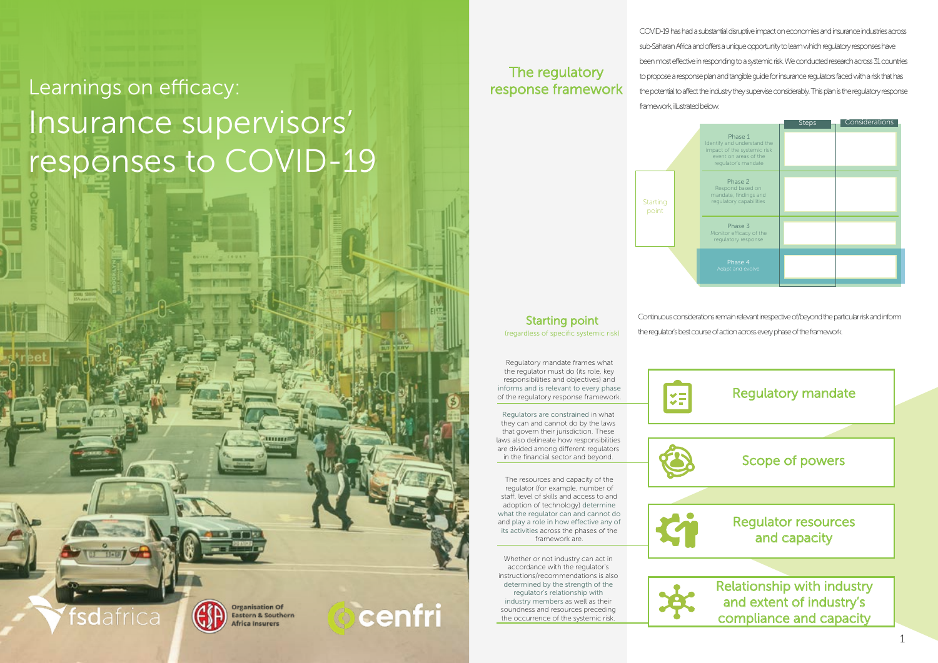COVID-19 has had a substantial disruptive impact on economies and insurance industries across sub-Saharan Africa and offers a unique opportunity to learn which regulatory responses have been most effective in responding to a systemic risk. We conducted research across 31 countries to propose a response plan and tangible guide for insurance regulators faced with a risk that has the potential to affect the industry they supervise considerably. This plan is the regulatory response framework, illustrated below.

### Regulatory mandate

### Scope of powers

### Regulator resources and capacity

Relationship with industry and extent of industry's compliance and capacity

### The regulatory response framework



**Starting point**<br>(regardless of specific systemic risk)

|                                                                                                                       | <b>Steps</b> | Considerations |
|-----------------------------------------------------------------------------------------------------------------------|--------------|----------------|
| Phase 1<br>Identify and understand the<br>impact of the systemic risk<br>event on areas of the<br>regulator's mandate |              |                |
| Phase 2<br>Respond based on<br>mandate, findings and<br>regulatory capabilities                                       |              |                |
| Phase 3<br>Monitor efficacy of the<br>regulatory response                                                             |              |                |
| Phase 4<br>Adapt and evolve                                                                                           |              |                |
|                                                                                                                       |              |                |

# Learnings on efficacy: Insurance supervisors' responses to COVID-19

Regulatory mandate frames what the regulator must do (its role, key responsibilities and objectives) and informs and is relevant to every phase of the regulatory response framework.

Regulators are constrained in what they can and cannot do by the laws that govern their jurisdiction. These laws also delineate how responsibilities are divided among different regulators in the financial sector and beyond.

The resources and capacity of the regulator (for example, number of staff, level of skills and access to and adoption of technology) determine what the regulator can and cannot do and play a role in how effective any of its activities across the phases of the framework are.

Whether or not industry can act in accordance with the regulator's instructions/recommendations is also determined by the strength of the regulator's relationship with industry members as well as their soundness and resources preceding the occurrence of the systemic risk.









**Organisation Of Eastern & Southern** Africa Insurers

rsdafrica

cenfri

Continuous considerations remain relevant irrespective of/beyond the particular risk and inform the regulator's best course of action across every phase of the framework.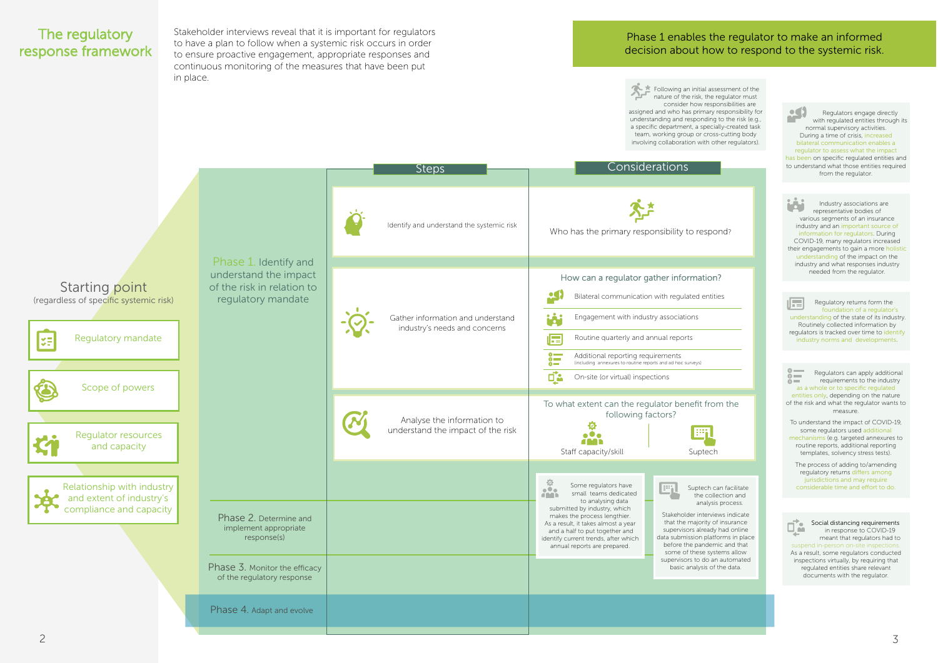Stakeholder interviews reveal that it is important for regulators to have a plan to follow when a systemic risk occurs in order to ensure proactive engagement, appropriate responses and continuous monitoring of the measures that have been put in place.

### Phase 1 enables the regulator to make an informed decision about how to respond to the systemic risk.

 $\bullet$ Regulators engage directly m a with regulated entities through its normal supervisory activities. During a time of crisis, increased bilateral communication enables a regulator to assess what the impact has been on specific regulated entities and to understand what those entities required from the regulator.



屈 Regulatory returns form the foundation of a regulator's understanding of the state of its industry. Routinely collected information by regulators is tracked over time to identify industry norms and developments.

## <span id="page-1-0"></span>The regulatory response framework

Industry associations are representative bodies of various segments of an insurance industry and an important source of information for regulators. During COVID-19, many regulators increased their engagements to gain a more holistic understanding of the impact on the industry and what responses industry needed from the regulator.

Following an initial assessment of the nature of the risk, the regulator must assigned and who has primary responsibility for understanding and responding to the risk (e.g., a specific department, a specially-created task team, working group or cross-cutting body involving collaboration with other regulators).

> Regulators can apply additional  $\sum_{i=1}^{\infty}$ requirements to the industry  $\delta =$ as a whole or to specific regulate entities only, depending on the nature of the risk and what the regulator wants to measure.

To understand the impact of COVID-19, some regulators used additional mechanisms (e.g. targeted annexures to routine reports, additional reporting templates, solvency stress tests).

The process of adding to/amending regulatory returns differs among jurisdictions and may require considerable time and effort to do.



Social distancing requirements in response to COVID-19 meant that regulators had to suspend in-person on-site inspectio As a result, some regulators conducted inspections virtually, by requiring that regulated entities share relevant documents with the regulator.

Suptech can facilitate the collection and analysis process.

consider how responsibilities are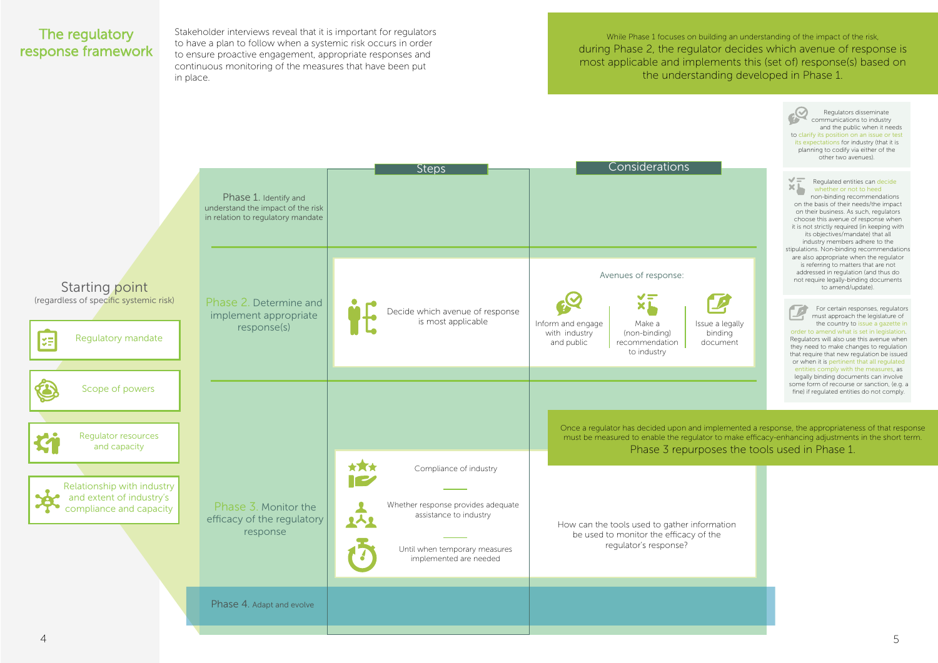Stakeholder interviews reveal that it is important for regulators to have a plan to follow when a systemic risk occurs in order to ensure proactive engagement, appropriate responses and continuous monitoring of the measures that have been put in place.

While Phase 1 focuses on building an understanding of the impact of the risk, during Phase 2, the regulator decides which avenue of response is most applicable and implements this (set of) response(s) based on the understanding developed in Phase 1.

## <span id="page-2-0"></span>The regulatory response framework

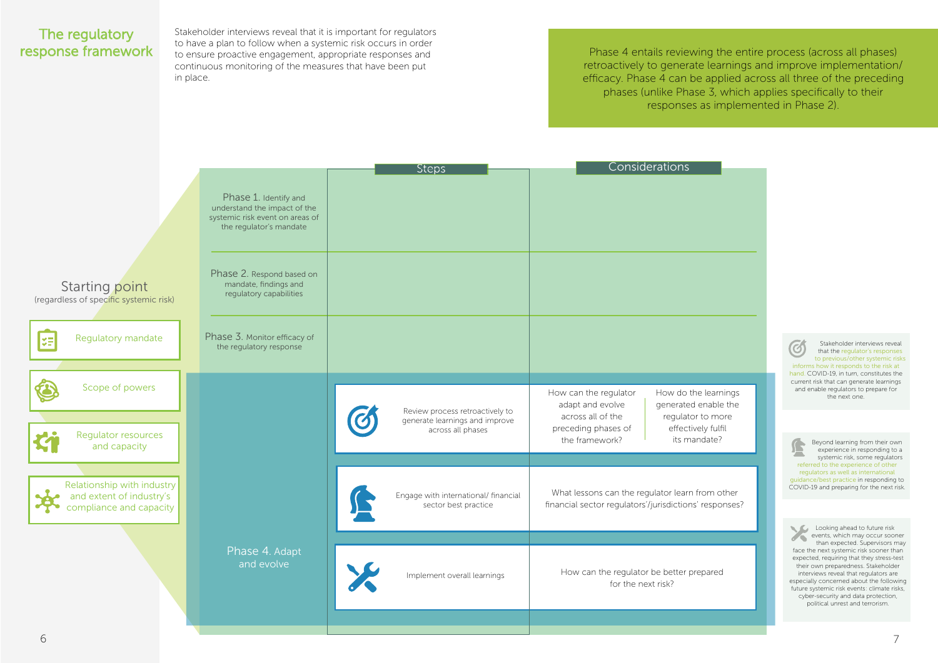Stakeholder interviews reveal that it is important for regulators to have a plan to follow when a systemic risk occurs in order to ensure proactive engagement, appropriate responses and continuous monitoring of the measures that have been put in place.

Phase 4 entails reviewing the entire process (across all phases) retroactively to generate learnings and improve implementation/ efficacy. Phase 4 can be applied across all three of the preceding phases (unlike Phase 3, which applies specifically to their responses as implemented in Phase 2).

## <span id="page-3-0"></span>The regulatory response framework

Looking ahead to future risk events, which may occur sooner than expected. Supervisors may face the next systemic risk sooner than expected, requiring that they stress-test their own preparedness. Stakeholder interviews reveal that regulators are especially concerned about the following future systemic risk events: climate risks, cyber-security and data protection, political unrest and terrorism.

earnings able the more fulfil ate?

m other sponses?

Stakeholder interviews reveal that the regulator's responses to previous/other systemic risks informs how it responds to the risk at hand. COVID-19, in turn, constitutes the current risk that can generate learnings and enable regulators to prepare for the next one.

Beyond learning from their own £ experience in responding to a systemic risk, some regulators referred to the experience of other regulators as well as international guidance/best practice in responding to COVID-19 and preparing for the next risk.

|                                                                                   |                                                                                                                     | <b>Steps</b>                                                      | Considerations                                                                                                             |
|-----------------------------------------------------------------------------------|---------------------------------------------------------------------------------------------------------------------|-------------------------------------------------------------------|----------------------------------------------------------------------------------------------------------------------------|
|                                                                                   | Phase 1. Identify and<br>understand the impact of the<br>systemic risk event on areas of<br>the regulator's mandate |                                                                   |                                                                                                                            |
| <b>Starting point</b><br>(regardless of specific systemic risk)                   | Phase 2. Respond based on<br>mandate, findings and<br>regulatory capabilities                                       |                                                                   |                                                                                                                            |
| Regulatory mandate<br>¥Ē                                                          | Phase 3. Monitor efficacy of<br>the regulatory response                                                             |                                                                   |                                                                                                                            |
| Scope of powers                                                                   |                                                                                                                     | Review process retroactively to<br>generate learnings and improve | How do the learni<br>How can the regulator<br>generated enable<br>adapt and evolve<br>regulator to mo<br>across all of the |
| Regulator resources<br>and capacity                                               |                                                                                                                     | across all phases                                                 | effectively fulfi<br>preceding phases of<br>its mandate?<br>the framework?                                                 |
| Relationship with industry<br>and extent of industry's<br>compliance and capacity |                                                                                                                     | Engage with international/ financial<br>sector best practice      | What lessons can the regulator learn from ot<br>financial sector regulators'/jurisdictions' respor                         |
|                                                                                   | Phase 4. Adapt<br>and evolve                                                                                        | Implement overall learnings                                       | How can the regulator be better prepared<br>for the next risk?                                                             |
|                                                                                   |                                                                                                                     |                                                                   |                                                                                                                            |